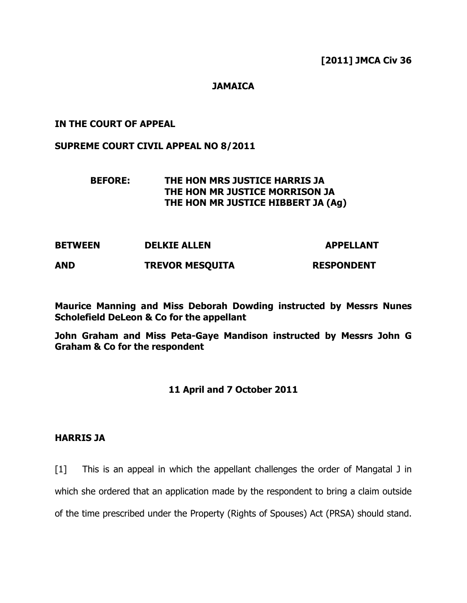[2011] JMCA Civ 36

### **JAMAICA**

### IN THE COURT OF APPEAL

#### SUPREME COURT CIVIL APPEAL NO 8/2011

# BEFORE: THE HON MRS JUSTICE HARRIS JA THE HON MR JUSTICE MORRISON JA THE HON MR JUSTICE HIBBERT JA (Ag)

| <b>BETWEEN</b> | <b>DELKIE ALLEN</b> | <b>APPELLANT</b> |
|----------------|---------------------|------------------|
|                |                     |                  |

AND TREVOR MESQUITA RESPONDENT

Maurice Manning and Miss Deborah Dowding instructed by Messrs Nunes Scholefield DeLeon & Co for the appellant

John Graham and Miss Peta-Gaye Mandison instructed by Messrs John G Graham & Co for the respondent

## 11 April and 7 October 2011

## HARRIS JA

[1] This is an appeal in which the appellant challenges the order of Mangatal J in which she ordered that an application made by the respondent to bring a claim outside of the time prescribed under the Property (Rights of Spouses) Act (PRSA) should stand.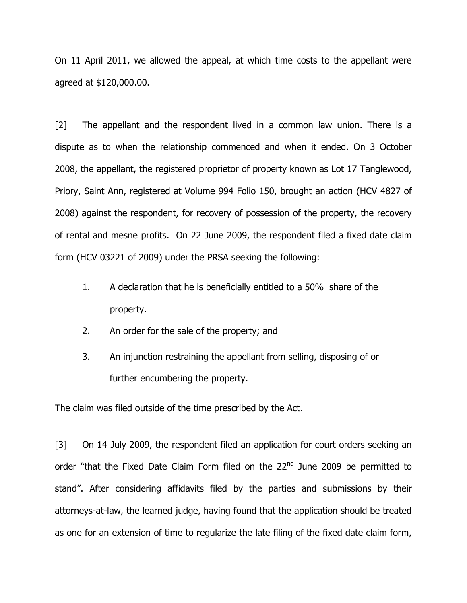On 11 April 2011, we allowed the appeal, at which time costs to the appellant were agreed at \$120,000.00.

[2] The appellant and the respondent lived in a common law union. There is a dispute as to when the relationship commenced and when it ended. On 3 October 2008, the appellant, the registered proprietor of property known as Lot 17 Tanglewood, Priory, Saint Ann, registered at Volume 994 Folio 150, brought an action (HCV 4827 of 2008) against the respondent, for recovery of possession of the property, the recovery of rental and mesne profits. On 22 June 2009, the respondent filed a fixed date claim form (HCV 03221 of 2009) under the PRSA seeking the following:

- 1. A declaration that he is beneficially entitled to a 50% share of the property.
- 2. An order for the sale of the property; and
- 3. An injunction restraining the appellant from selling, disposing of or further encumbering the property.

The claim was filed outside of the time prescribed by the Act.

[3] On 14 July 2009, the respondent filed an application for court orders seeking an order "that the Fixed Date Claim Form filed on the 22<sup>nd</sup> June 2009 be permitted to stand". After considering affidavits filed by the parties and submissions by their attorneys-at-law, the learned judge, having found that the application should be treated as one for an extension of time to regularize the late filing of the fixed date claim form,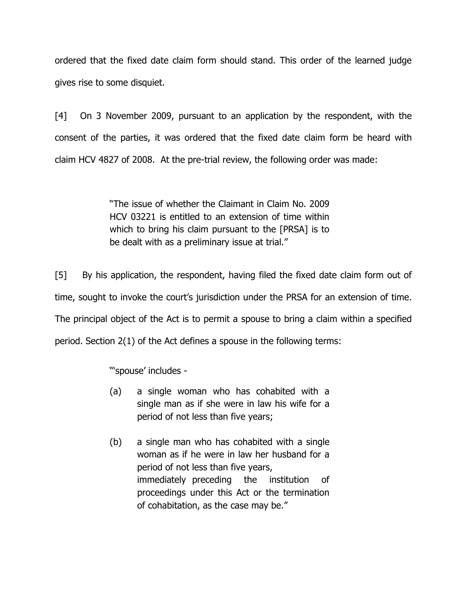ordered that the fixed date claim form should stand. This order of the learned judge gives rise to some disquiet.

[4] On 3 November 2009, pursuant to an application by the respondent, with the consent of the parties, it was ordered that the fixed date claim form be heard with claim HCV 4827 of 2008. At the pre-trial review, the following order was made:

> "The issue of whether the Claimant in Claim No. 2009 HCV 03221 is entitled to an extension of time within which to bring his claim pursuant to the [PRSA] is to be dealt with as a preliminary issue at trial."

[5] By his application, the respondent, having filed the fixed date claim form out of time, sought to invoke the court's jurisdiction under the PRSA for an extension of time. The principal object of the Act is to permit a spouse to bring a claim within a specified period. Section 2(1) of the Act defines a spouse in the following terms:

"'spouse' includes -

- (a) a single woman who has cohabited with a single man as if she were in law his wife for a period of not less than five years;
- (b) a single man who has cohabited with a single woman as if he were in law her husband for a period of not less than five years, immediately preceding the institution of proceedings under this Act or the termination of cohabitation, as the case may be."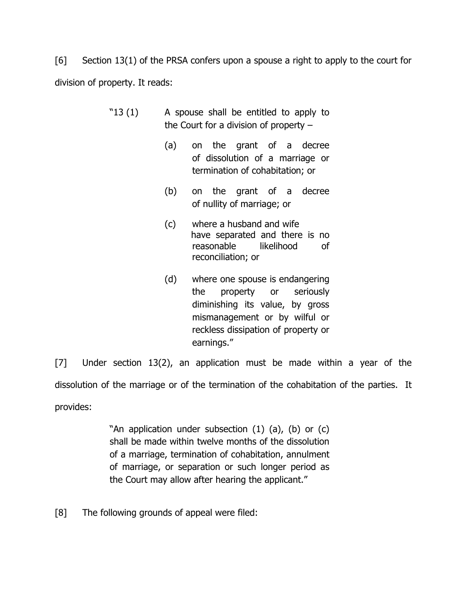[6] Section 13(1) of the PRSA confers upon a spouse a right to apply to the court for division of property. It reads:

- "13(1) A spouse shall be entitled to apply to the Court for a division of property –
	- (a) on the grant of a decree of dissolution of a marriage or termination of cohabitation; or
	- (b) on the grant of a decree of nullity of marriage; or
	- (c) where a husband and wife have separated and there is no reasonable likelihood of reconciliation; or
	- (d) where one spouse is endangering the property or seriously diminishing its value, by gross mismanagement or by wilful or reckless dissipation of property or earnings."

[7] Under section 13(2), an application must be made within a year of the dissolution of the marriage or of the termination of the cohabitation of the parties. It provides:

> "An application under subsection (1) (a), (b) or (c) shall be made within twelve months of the dissolution of a marriage, termination of cohabitation, annulment of marriage, or separation or such longer period as the Court may allow after hearing the applicant."

[8] The following grounds of appeal were filed: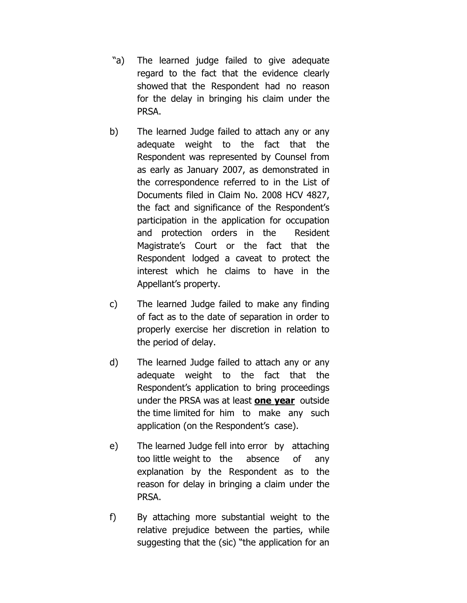- "a) The learned judge failed to give adequate regard to the fact that the evidence clearly showed that the Respondent had no reason for the delay in bringing his claim under the PRSA.
- b) The learned Judge failed to attach any or any adequate weight to the fact that the Respondent was represented by Counsel from as early as January 2007, as demonstrated in the correspondence referred to in the List of Documents filed in Claim No. 2008 HCV 4827, the fact and significance of the Respondent's participation in the application for occupation and protection orders in the Resident Magistrate's Court or the fact that the Respondent lodged a caveat to protect the interest which he claims to have in the Appellant's property.
- c) The learned Judge failed to make any finding of fact as to the date of separation in order to properly exercise her discretion in relation to the period of delay.
- d) The learned Judge failed to attach any or any adequate weight to the fact that the Respondent's application to bring proceedings under the PRSA was at least **one year** outside the time limited for him to make any such application (on the Respondent's case).
- e) The learned Judge fell into error by attaching too little weight to the absence of any explanation by the Respondent as to the reason for delay in bringing a claim under the PRSA.
- f) By attaching more substantial weight to the relative prejudice between the parties, while suggesting that the (sic) "the application for an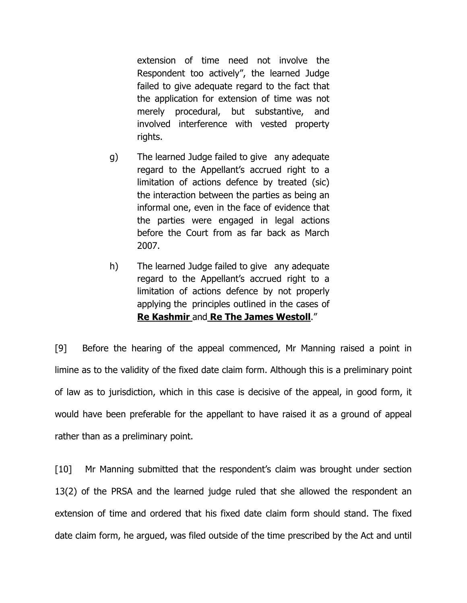extension of time need not involve the Respondent too actively", the learned Judge failed to give adequate regard to the fact that the application for extension of time was not merely procedural, but substantive, and involved interference with vested property rights.

- g) The learned Judge failed to give any adequate regard to the Appellant's accrued right to a limitation of actions defence by treated (sic) the interaction between the parties as being an informal one, even in the face of evidence that the parties were engaged in legal actions before the Court from as far back as March 2007.
- h) The learned Judge failed to give any adequate regard to the Appellant's accrued right to a limitation of actions defence by not properly applying the principles outlined in the cases of Re Kashmir and Re The James Westoll."

[9] Before the hearing of the appeal commenced, Mr Manning raised a point in limine as to the validity of the fixed date claim form. Although this is a preliminary point of law as to jurisdiction, which in this case is decisive of the appeal, in good form, it would have been preferable for the appellant to have raised it as a ground of appeal rather than as a preliminary point.

[10] Mr Manning submitted that the respondent's claim was brought under section 13(2) of the PRSA and the learned judge ruled that she allowed the respondent an extension of time and ordered that his fixed date claim form should stand. The fixed date claim form, he argued, was filed outside of the time prescribed by the Act and until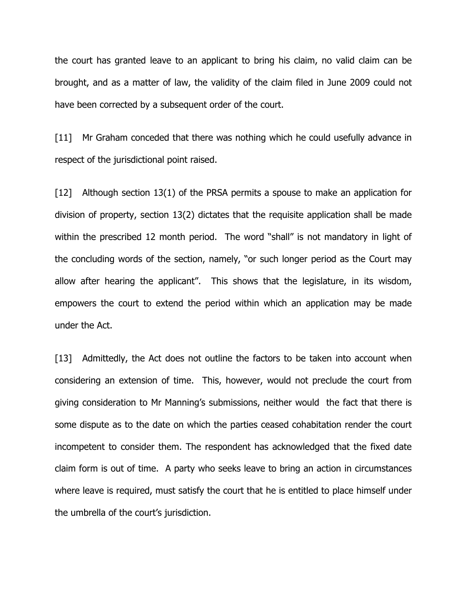the court has granted leave to an applicant to bring his claim, no valid claim can be brought, and as a matter of law, the validity of the claim filed in June 2009 could not have been corrected by a subsequent order of the court.

[11] Mr Graham conceded that there was nothing which he could usefully advance in respect of the jurisdictional point raised.

[12] Although section 13(1) of the PRSA permits a spouse to make an application for division of property, section 13(2) dictates that the requisite application shall be made within the prescribed 12 month period. The word "shall" is not mandatory in light of the concluding words of the section, namely, "or such longer period as the Court may allow after hearing the applicant". This shows that the legislature, in its wisdom, empowers the court to extend the period within which an application may be made under the Act.

[13] Admittedly, the Act does not outline the factors to be taken into account when considering an extension of time. This, however, would not preclude the court from giving consideration to Mr Manning's submissions, neither would the fact that there is some dispute as to the date on which the parties ceased cohabitation render the court incompetent to consider them. The respondent has acknowledged that the fixed date claim form is out of time. A party who seeks leave to bring an action in circumstances where leave is required, must satisfy the court that he is entitled to place himself under the umbrella of the court's jurisdiction.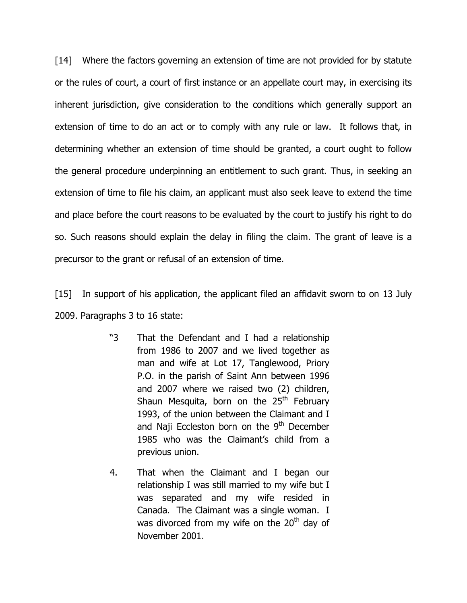[14] Where the factors governing an extension of time are not provided for by statute or the rules of court, a court of first instance or an appellate court may, in exercising its inherent jurisdiction, give consideration to the conditions which generally support an extension of time to do an act or to comply with any rule or law. It follows that, in determining whether an extension of time should be granted, a court ought to follow the general procedure underpinning an entitlement to such grant. Thus, in seeking an extension of time to file his claim, an applicant must also seek leave to extend the time and place before the court reasons to be evaluated by the court to justify his right to do so. Such reasons should explain the delay in filing the claim. The grant of leave is a precursor to the grant or refusal of an extension of time.

[15] In support of his application, the applicant filed an affidavit sworn to on 13 July 2009. Paragraphs 3 to 16 state:

- "3 That the Defendant and I had a relationship from 1986 to 2007 and we lived together as man and wife at Lot 17, Tanglewood, Priory P.O. in the parish of Saint Ann between 1996 and 2007 where we raised two (2) children, Shaun Mesquita, born on the  $25<sup>th</sup>$  February 1993, of the union between the Claimant and I and Naji Eccleston born on the  $9<sup>th</sup>$  December 1985 who was the Claimant's child from a previous union.
- 4. That when the Claimant and I began our relationship I was still married to my wife but I was separated and my wife resided in Canada. The Claimant was a single woman. I was divorced from my wife on the  $20<sup>th</sup>$  day of November 2001.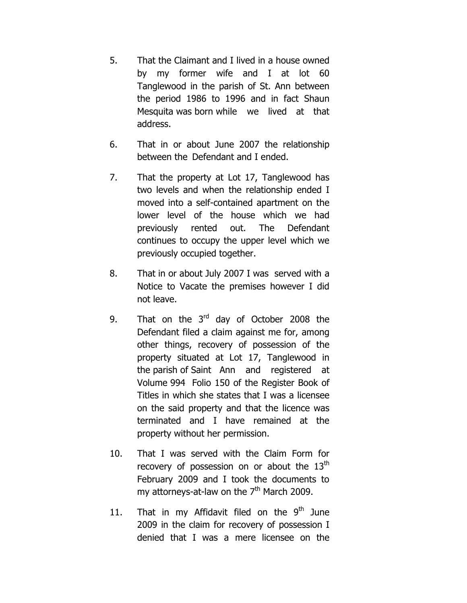- 5. That the Claimant and I lived in a house owned by my former wife and I at lot 60 Tanglewood in the parish of St. Ann between the period 1986 to 1996 and in fact Shaun Mesquita was born while we lived at that address.
- 6. That in or about June 2007 the relationship between the Defendant and I ended.
- 7. That the property at Lot 17, Tanglewood has two levels and when the relationship ended I moved into a self-contained apartment on the lower level of the house which we had previously rented out. The Defendant continues to occupy the upper level which we previously occupied together.
- 8. That in or about July 2007 I was served with a Notice to Vacate the premises however I did not leave.
- 9. That on the  $3^{rd}$  day of October 2008 the Defendant filed a claim against me for, among other things, recovery of possession of the property situated at Lot 17, Tanglewood in the parish of Saint Ann and registered at Volume 994 Folio 150 of the Register Book of Titles in which she states that I was a licensee on the said property and that the licence was terminated and I have remained at the property without her permission.
- 10. That I was served with the Claim Form for recovery of possession on or about the  $13<sup>th</sup>$  February 2009 and I took the documents to my attorneys-at-law on the  $7<sup>th</sup>$  March 2009.
- 11. That in my Affidavit filed on the  $9<sup>th</sup>$  June 2009 in the claim for recovery of possession I denied that I was a mere licensee on the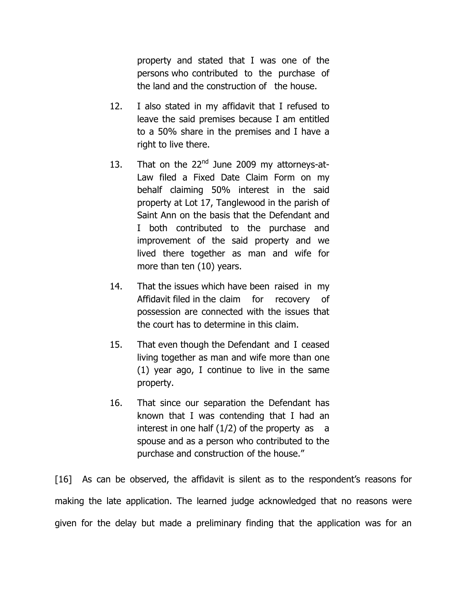property and stated that I was one of the persons who contributed to the purchase of the land and the construction of the house.

- 12. I also stated in my affidavit that I refused to leave the said premises because I am entitled to a 50% share in the premises and I have a right to live there.
- 13. That on the  $22<sup>nd</sup>$  June 2009 my attorneys-at- Law filed a Fixed Date Claim Form on my behalf claiming 50% interest in the said property at Lot 17, Tanglewood in the parish of Saint Ann on the basis that the Defendant and I both contributed to the purchase and improvement of the said property and we lived there together as man and wife for more than ten (10) years.
- 14. That the issues which have been raised in my Affidavit filed in the claim for recovery of possession are connected with the issues that the court has to determine in this claim.
- 15. That even though the Defendant and I ceased living together as man and wife more than one (1) year ago, I continue to live in the same property.
- 16. That since our separation the Defendant has known that I was contending that I had an interest in one half  $(1/2)$  of the property as a spouse and as a person who contributed to the purchase and construction of the house."

[16] As can be observed, the affidavit is silent as to the respondent's reasons for making the late application. The learned judge acknowledged that no reasons were given for the delay but made a preliminary finding that the application was for an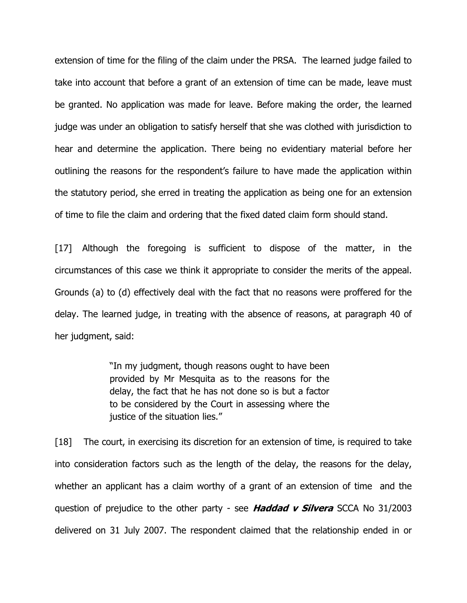extension of time for the filing of the claim under the PRSA. The learned judge failed to take into account that before a grant of an extension of time can be made, leave must be granted. No application was made for leave. Before making the order, the learned judge was under an obligation to satisfy herself that she was clothed with jurisdiction to hear and determine the application. There being no evidentiary material before her outlining the reasons for the respondent's failure to have made the application within the statutory period, she erred in treating the application as being one for an extension of time to file the claim and ordering that the fixed dated claim form should stand.

[17] Although the foregoing is sufficient to dispose of the matter, in the circumstances of this case we think it appropriate to consider the merits of the appeal. Grounds (a) to (d) effectively deal with the fact that no reasons were proffered for the delay. The learned judge, in treating with the absence of reasons, at paragraph 40 of her judgment, said:

> "In my judgment, though reasons ought to have been provided by Mr Mesquita as to the reasons for the delay, the fact that he has not done so is but a factor to be considered by the Court in assessing where the justice of the situation lies."

[18] The court, in exercising its discretion for an extension of time, is required to take into consideration factors such as the length of the delay, the reasons for the delay, whether an applicant has a claim worthy of a grant of an extension of time and the question of prejudice to the other party - see **Haddad v Silvera** SCCA No 31/2003 delivered on 31 July 2007. The respondent claimed that the relationship ended in or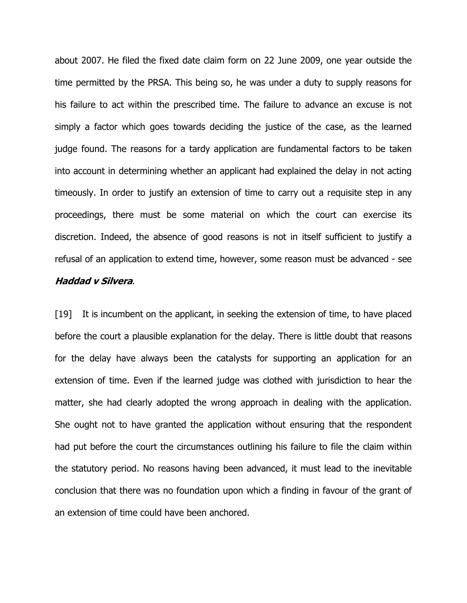about 2007. He filed the fixed date claim form on 22 June 2009, one year outside the time permitted by the PRSA. This being so, he was under a duty to supply reasons for his failure to act within the prescribed time. The failure to advance an excuse is not simply a factor which goes towards deciding the justice of the case, as the learned judge found. The reasons for a tardy application are fundamental factors to be taken into account in determining whether an applicant had explained the delay in not acting timeously. In order to justify an extension of time to carry out a requisite step in any proceedings, there must be some material on which the court can exercise its discretion. Indeed, the absence of good reasons is not in itself sufficient to justify a refusal of an application to extend time, however, some reason must be advanced - see Haddad v Silvera.

# [19] It is incumbent on the applicant, in seeking the extension of time, to have placed before the court a plausible explanation for the delay. There is little doubt that reasons for the delay have always been the catalysts for supporting an application for an extension of time. Even if the learned judge was clothed with jurisdiction to hear the matter, she had clearly adopted the wrong approach in dealing with the application. She ought not to have granted the application without ensuring that the respondent had put before the court the circumstances outlining his failure to file the claim within the statutory period. No reasons having been advanced, it must lead to the inevitable conclusion that there was no foundation upon which a finding in favour of the grant of an extension of time could have been anchored.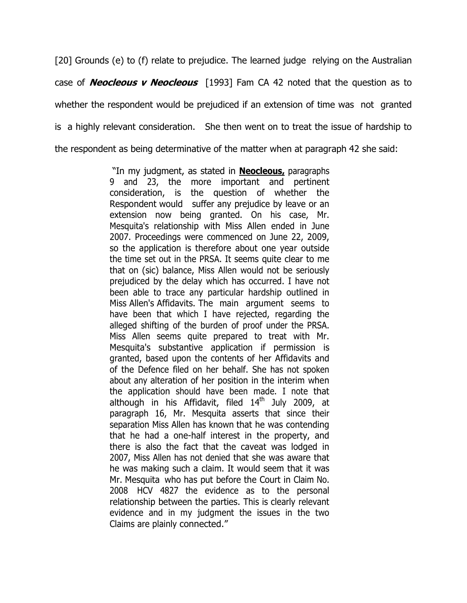[20] Grounds (e) to (f) relate to prejudice. The learned judge relying on the Australian case of **Neocleous v Neocleous** [1993] Fam CA 42 noted that the question as to whether the respondent would be prejudiced if an extension of time was not granted is a highly relevant consideration. She then went on to treat the issue of hardship to the respondent as being determinative of the matter when at paragraph 42 she said:

> "In my judgment, as stated in **Neocleous**, paragraphs 9 and 23, the more important and pertinent consideration, is the question of whether the Respondent would suffer any prejudice by leave or an extension now being granted. On his case, Mr. Mesquita's relationship with Miss Allen ended in June 2007. Proceedings were commenced on June 22, 2009, so the application is therefore about one year outside the time set out in the PRSA. It seems quite clear to me that on (sic) balance, Miss Allen would not be seriously prejudiced by the delay which has occurred. I have not been able to trace any particular hardship outlined in Miss Allen's Affidavits. The main argument seems to have been that which I have rejected, regarding the alleged shifting of the burden of proof under the PRSA. Miss Allen seems quite prepared to treat with Mr. Mesquita's substantive application if permission is granted, based upon the contents of her Affidavits and of the Defence filed on her behalf. She has not spoken about any alteration of her position in the interim when the application should have been made. I note that although in his Affidavit, filed 14<sup>th</sup> July 2009, at paragraph 16, Mr. Mesquita asserts that since their separation Miss Allen has known that he was contending that he had a one-half interest in the property, and there is also the fact that the caveat was lodged in 2007, Miss Allen has not denied that she was aware that he was making such a claim. It would seem that it was Mr. Mesquita who has put before the Court in Claim No. 2008 HCV 4827 the evidence as to the personal relationship between the parties. This is clearly relevant evidence and in my judgment the issues in the two Claims are plainly connected."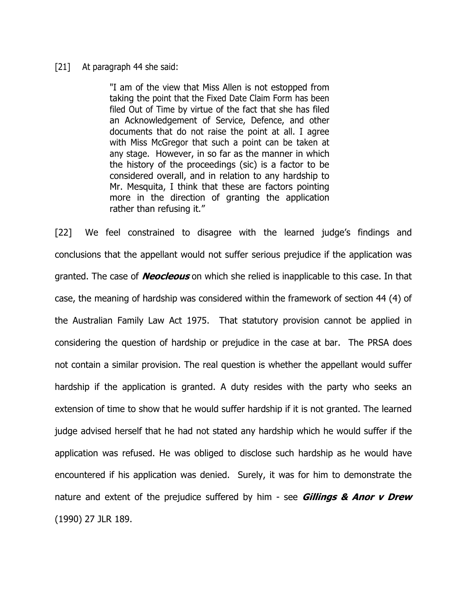#### [21] At paragraph 44 she said:

"I am of the view that Miss Allen is not estopped from taking the point that the Fixed Date Claim Form has been filed Out of Time by virtue of the fact that she has filed an Acknowledgement of Service, Defence, and other documents that do not raise the point at all. I agree with Miss McGregor that such a point can be taken at any stage. However, in so far as the manner in which the history of the proceedings (sic) is a factor to be considered overall, and in relation to any hardship to Mr. Mesquita, I think that these are factors pointing more in the direction of granting the application rather than refusing it."

[22] We feel constrained to disagree with the learned judge's findings and conclusions that the appellant would not suffer serious prejudice if the application was granted. The case of **Neocleous** on which she relied is inapplicable to this case. In that case, the meaning of hardship was considered within the framework of section 44 (4) of the Australian Family Law Act 1975. That statutory provision cannot be applied in considering the question of hardship or prejudice in the case at bar. The PRSA does not contain a similar provision. The real question is whether the appellant would suffer hardship if the application is granted. A duty resides with the party who seeks an extension of time to show that he would suffer hardship if it is not granted. The learned judge advised herself that he had not stated any hardship which he would suffer if the application was refused. He was obliged to disclose such hardship as he would have encountered if his application was denied. Surely, it was for him to demonstrate the nature and extent of the prejudice suffered by him - see **Gillings & Anor v Drew** (1990) 27 JLR 189.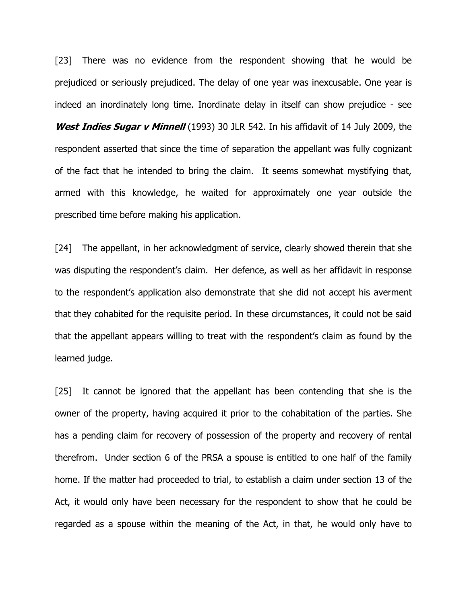[23] There was no evidence from the respondent showing that he would be prejudiced or seriously prejudiced. The delay of one year was inexcusable. One year is indeed an inordinately long time. Inordinate delay in itself can show prejudice - see West Indies Sugar v Minnell (1993) 30 JLR 542. In his affidavit of 14 July 2009, the respondent asserted that since the time of separation the appellant was fully cognizant of the fact that he intended to bring the claim. It seems somewhat mystifying that, armed with this knowledge, he waited for approximately one year outside the prescribed time before making his application.

[24] The appellant, in her acknowledgment of service, clearly showed therein that she was disputing the respondent's claim. Her defence, as well as her affidavit in response to the respondent's application also demonstrate that she did not accept his averment that they cohabited for the requisite period. In these circumstances, it could not be said that the appellant appears willing to treat with the respondent's claim as found by the learned judge.

[25] It cannot be ignored that the appellant has been contending that she is the owner of the property, having acquired it prior to the cohabitation of the parties. She has a pending claim for recovery of possession of the property and recovery of rental therefrom. Under section 6 of the PRSA a spouse is entitled to one half of the family home. If the matter had proceeded to trial, to establish a claim under section 13 of the Act, it would only have been necessary for the respondent to show that he could be regarded as a spouse within the meaning of the Act, in that, he would only have to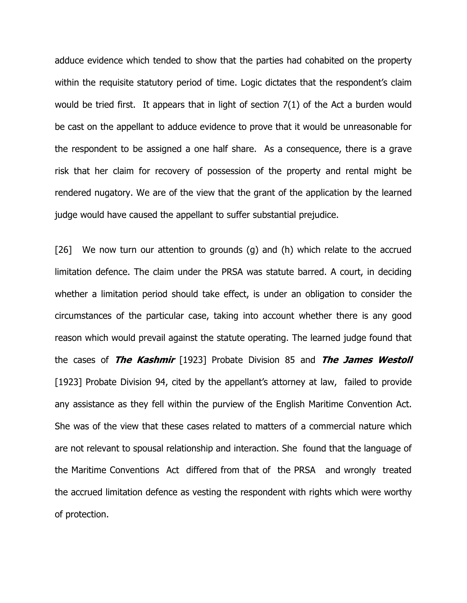adduce evidence which tended to show that the parties had cohabited on the property within the requisite statutory period of time. Logic dictates that the respondent's claim would be tried first. It appears that in light of section 7(1) of the Act a burden would be cast on the appellant to adduce evidence to prove that it would be unreasonable for the respondent to be assigned a one half share. As a consequence, there is a grave risk that her claim for recovery of possession of the property and rental might be rendered nugatory. We are of the view that the grant of the application by the learned judge would have caused the appellant to suffer substantial prejudice.

[26] We now turn our attention to grounds (g) and (h) which relate to the accrued limitation defence. The claim under the PRSA was statute barred. A court, in deciding whether a limitation period should take effect, is under an obligation to consider the circumstances of the particular case, taking into account whether there is any good reason which would prevail against the statute operating. The learned judge found that the cases of The Kashmir [1923] Probate Division 85 and The James Westoll [1923] Probate Division 94, cited by the appellant's attorney at law, failed to provide any assistance as they fell within the purview of the English Maritime Convention Act. She was of the view that these cases related to matters of a commercial nature which are not relevant to spousal relationship and interaction. She found that the language of the Maritime Conventions Act differed from that of the PRSA and wrongly treated the accrued limitation defence as vesting the respondent with rights which were worthy of protection.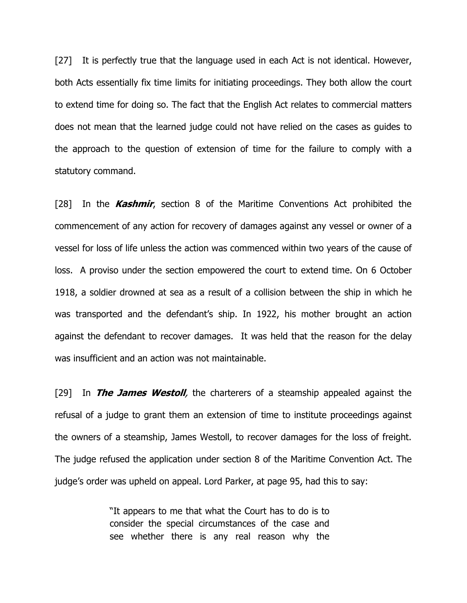[27] It is perfectly true that the language used in each Act is not identical. However, both Acts essentially fix time limits for initiating proceedings. They both allow the court to extend time for doing so. The fact that the English Act relates to commercial matters does not mean that the learned judge could not have relied on the cases as guides to the approach to the question of extension of time for the failure to comply with a statutory command.

[28] In the **Kashmir**, section 8 of the Maritime Conventions Act prohibited the commencement of any action for recovery of damages against any vessel or owner of a vessel for loss of life unless the action was commenced within two years of the cause of loss. A proviso under the section empowered the court to extend time. On 6 October 1918, a soldier drowned at sea as a result of a collision between the ship in which he was transported and the defendant's ship. In 1922, his mother brought an action against the defendant to recover damages. It was held that the reason for the delay was insufficient and an action was not maintainable.

[29] In The James Westoll, the charterers of a steamship appealed against the refusal of a judge to grant them an extension of time to institute proceedings against the owners of a steamship, James Westoll, to recover damages for the loss of freight. The judge refused the application under section 8 of the Maritime Convention Act. The judge's order was upheld on appeal. Lord Parker, at page 95, had this to say:

> "It appears to me that what the Court has to do is to consider the special circumstances of the case and see whether there is any real reason why the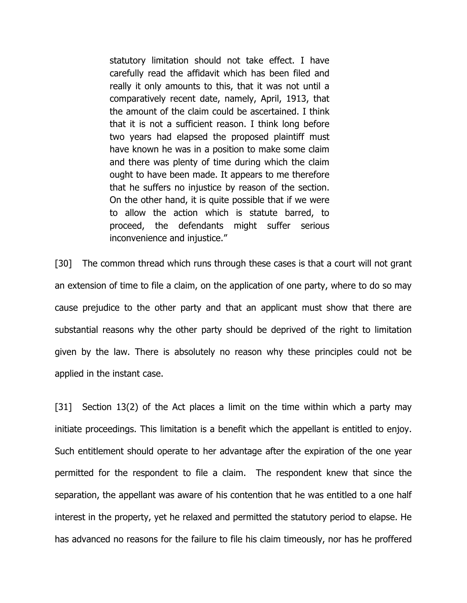statutory limitation should not take effect. I have carefully read the affidavit which has been filed and really it only amounts to this, that it was not until a comparatively recent date, namely, April, 1913, that the amount of the claim could be ascertained. I think that it is not a sufficient reason. I think long before two years had elapsed the proposed plaintiff must have known he was in a position to make some claim and there was plenty of time during which the claim ought to have been made. It appears to me therefore that he suffers no injustice by reason of the section. On the other hand, it is quite possible that if we were to allow the action which is statute barred, to proceed, the defendants might suffer serious inconvenience and injustice."

[30] The common thread which runs through these cases is that a court will not grant an extension of time to file a claim, on the application of one party, where to do so may cause prejudice to the other party and that an applicant must show that there are substantial reasons why the other party should be deprived of the right to limitation given by the law. There is absolutely no reason why these principles could not be applied in the instant case.

[31] Section 13(2) of the Act places a limit on the time within which a party may initiate proceedings. This limitation is a benefit which the appellant is entitled to enjoy. Such entitlement should operate to her advantage after the expiration of the one year permitted for the respondent to file a claim. The respondent knew that since the separation, the appellant was aware of his contention that he was entitled to a one half interest in the property, yet he relaxed and permitted the statutory period to elapse. He has advanced no reasons for the failure to file his claim timeously, nor has he proffered